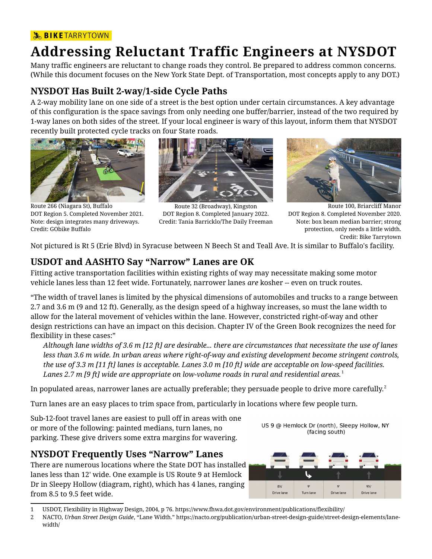#### **SIKETARRYTOWN**

# **Addressing Reluctant Traffic Engineers at NYSDOT**

Many traffic engineers are reluctant to change roads they control. Be prepared to address common concerns. (While this document focuses on the New York State Dept. of Transportation, most concepts apply to any DOT.)

#### **NYSDOT Has Built 2-way/1-side Cycle Paths**

A 2-way mobility lane on one side of a street is the best option under certain circumstances. A key advantage of this configuration is the space savings from only needing one buffer/barrier, instead of the two required by 1-way lanes on both sides of the street. If your local engineer is wary of this layout, inform them that NYSDOT recently built protected cycle tracks on four State roads.



Route 266 (Niagara St), Buffalo DOT Region 5. Completed November 2021. Note: design integrates many driveways. Credit: GObike Buffalo



Route 32 (Broadway), Kingston DOT Region 8. Completed January 2022. Credit: Tania Barricklo/The Daily Freeman



Route 100, Briarcliff Manor DOT Region 8. Completed November 2020. Note: box beam median barrier; strong protection, only needs a little width. Credit: Bike Tarrytown

Not pictured is Rt 5 (Erie Blvd) in Syracuse between N Beech St and Teall Ave. It is similar to Buffalo's facility.

#### **USDOT and AASHTO Say "Narrow" Lanes are OK**

Fitting active transportation facilities within existing rights of way may necessitate making some motor vehicle lanes less than 12 feet wide. Fortunately, narrower lanes *are* kosher -- even on truck routes.

"The width of travel lanes is limited by the physical dimensions of automobiles and trucks to a range between 2.7 and 3.6 m (9 and 12 ft). Generally, as the design speed of a highway increases, so must the lane width to allow for the lateral movement of vehicles within the lane. However, constricted right-of-way and other design restrictions can have an impact on this decision. Chapter IV of the Green Book recognizes the need for flexibility in these cases:"

*Although lane widths of 3.6 m [12 ft] are desirable... there are circumstances that necessitate the use of lanes less than 3.6 m wide. In urban areas where right-of-way and existing development become stringent controls, the use of 3.3 m [11 ft] lanes is acceptable. Lanes 3.0 m [10 ft] wide are acceptable on low-speed facilities. Lanes 2.7 m [9 ft] wide are appropriate on low-volume roads in rural and residential areas.*[1](#page-0-0)

In populated areas, narrower lanes are actually preferable; they persuade people to drive more carefully.<sup>[2](#page-0-1)</sup>

Turn lanes are an easy places to trim space from, particularly in locations where few people turn.

Sub-12-foot travel lanes are easiest to pull off in areas with one or more of the following: painted medians, turn lanes, no parking. These give drivers some extra margins for wavering.

#### **NYSDOT Frequently Uses "Narrow" Lanes**

There are numerous locations where the State DOT has installed lanes less than 12' wide. One example is US Route 9 at Hemlock Dr in Sleepy Hollow (diagram, right), which has 4 lanes, ranging from 8.5 to 9.5 feet wide.

US 9 @ Hemlock Dr (north), Sleepy Hollow, NY (facing south)



<span id="page-0-0"></span><sup>1</sup> USDOT, Flexibility in Highway Design, 2004, p 76. https://www.fhwa.dot.gov/environment/publications/flexibility/

<span id="page-0-1"></span><sup>2</sup> NACTO, *Urban Street Design Guide*, "Lane Width." https://nacto.org/publication/urban-street-design-guide/street-design-elements/lanewidth/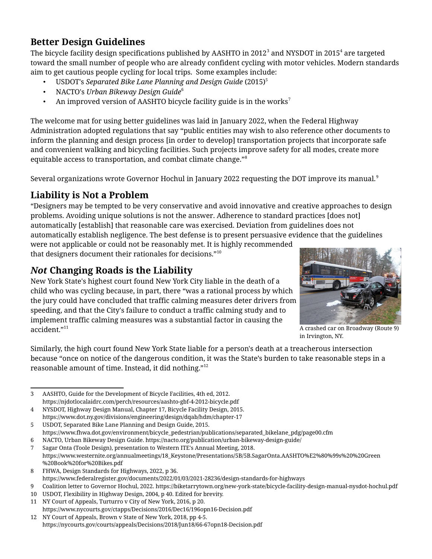## **Better Design Guidelines**

The bicycle facility design specifications published by AASHTO in 2012 $^{\rm 3}$  $^{\rm 3}$  $^{\rm 3}$  and NYSDOT in 2015 $^{\rm 4}$  $^{\rm 4}$  $^{\rm 4}$  are targeted toward the small number of people who are already confident cycling with motor vehicles. Modern standards aim to get cautious people cycling for local trips. Some examples include:

- USDOT's *Separated Bike Lane Planning and Design Guide* (2015)[5](#page-1-2)
- NACTO's *Urban Bikeway Design Guide*[6](#page-1-3)
- An improved version of AASHTO bicycle facility guide is in the works<sup>[7](#page-1-4)</sup>

The welcome mat for using better guidelines was laid in January 2022, when the Federal Highway Administration adopted regulations that say "public entities may wish to also reference other documents to inform the planning and design process [in order to develop] transportation projects that incorporate safe and convenient walking and bicycling facilities. Such projects improve safety for all modes, create more equitable access to transportation, and combat climate change."[8](#page-1-5)

Several organizations wrote Governor Hochul in January 2022 requesting the DOT improve its manual.<sup>[9](#page-1-6)</sup>

## **Liability is Not a Problem**

"Designers may be tempted to be very conservative and avoid innovative and creative approaches to design problems. Avoiding unique solutions is not the answer. Adherence to standard practices [does not] automatically [establish] that reasonable care was exercised. Deviation from guidelines does not automatically establish negligence. The best defense is to present persuasive evidence that the guidelines were not applicable or could not be reasonably met. It is highly recommended

that designers document their rationales for decisions."[10](#page-1-7)

## *Not* **Changing Roads is the Liability**

New York State's highest court found New York City liable in the death of a child who was cycling because, in part, there "was a rational process by which the jury could have concluded that traffic calming measures deter drivers from speeding, and that the City's failure to conduct a traffic calming study and to implement traffic calming measures was a substantial factor in causing the accident."<sup>[11](#page-1-8)</sup>



A crashed car on Broadway (Route 9) in Irvington, NY.

Similarly, the high court found New York State liable for a person's death at a treacherous intersection because "once on notice of the dangerous condition, it was the State's burden to take reasonable steps in a reasonable amount of time. Instead, it did nothing."[12](#page-1-9)

https://www.fhwa.dot.gov/environment/bicycle\_pedestrian/publications/separated\_bikelane\_pdg/page00.cfm 6 NACTO, Urban Bikeway Design Guide. https://nacto.org/publication/urban-bikeway-design-guide/

<span id="page-1-7"></span>10 USDOT, Flexibility in Highway Design, 2004, p 40. Edited for brevity.

<span id="page-1-0"></span><sup>3</sup> AASHTO, Guide for the Development of Bicycle Facilities, 4th ed, 2012. https://njdotlocalaidrc.com/perch/resources/aashto-gbf-4-2012-bicycle.pdf

<span id="page-1-1"></span><sup>4</sup> NYSDOT, Highway Design Manual, Chapter 17, Bicycle Facility Design, 2015. https://www.dot.ny.gov/divisions/engineering/design/dqab/hdm/chapter-17

<span id="page-1-2"></span><sup>5</sup> USDOT, Separated Bike Lane Planning and Design Guide, 2015.

<span id="page-1-4"></span><span id="page-1-3"></span><sup>7</sup> Sagar Onta (Toole Design), presentation to Western ITE's Annual Meeting, 2018.

https://www.westernite.org/annualmeetings/18\_Keystone/Presentations/5B/5B.SagarOnta.AASHTO%E2%80%99s%20%20Green %20Book%20for%20Bikes.pdf

<span id="page-1-5"></span><sup>8</sup> FHWA, Design Standards for Highways, 2022, p 36. https://www.federalregister.gov/documents/2022/01/03/2021-28236/design-standards-for-highways

<span id="page-1-6"></span><sup>9</sup> Coalition letter to Governor Hochul, 2022. https://biketarrytown.org/new-york-state/bicycle-facility-design-manual-nysdot-hochul.pdf

<span id="page-1-8"></span><sup>11</sup> NY Court of Appeals, Turturro v City of New York, 2016, p 20. https://www.nycourts.gov/ctapps/Decisions/2016/Dec16/196opn16-Decision.pdf

<span id="page-1-9"></span><sup>12</sup> NY Court of Appeals, Brown v State of New York, 2018, pp 4-5. https://nycourts.gov/courts/appeals/Decisions/2018/Jun18/66-67opn18-Decision.pdf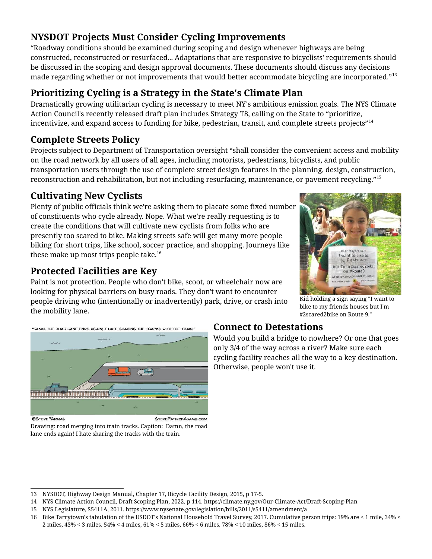## **NYSDOT Projects Must Consider Cycling Improvements**

"Roadway conditions should be examined during scoping and design whenever highways are being constructed, reconstructed or resurfaced... Adaptations that are responsive to bicyclists' requirements should be discussed in the scoping and design approval documents. These documents should discuss any decisions made regarding whether or not improvements that would better accommodate bicycling are incorporated."[13](#page-2-0)

## **Prioritizing Cycling is a Strategy in the State's Climate Plan**

Dramatically growing utilitarian cycling is necessary to meet NY's ambitious emission goals. The NYS Climate Action Council's recently released draft plan includes Strategy T8, calling on the State to "prioritize, incentivize, and expand access to funding for bike, pedestrian, transit, and complete streets projects"<sup>[14](#page-2-1)</sup>

#### **Complete Streets Policy**

Projects subject to Department of Transportation oversight "shall consider the convenient access and mobility on the road network by all users of all ages, including motorists, pedestrians, bicyclists, and public transportation users through the use of complete street design features in the planning, design, construction, reconstruction and rehabilitation, but not including resurfacing, maintenance, or pavement recycling."[15](#page-2-2)

## **Cultivating New Cyclists**

Plenty of public officials think we're asking them to placate some fixed number of constituents who cycle already. Nope. What we're really requesting is to create the conditions that will cultivate new cyclists from folks who are presently too scared to bike. Making streets safe will get many more people biking for short trips, like school, soccer practice, and shopping. Journeys like these make up most trips people take.<sup>[16](#page-2-3)</sup>

## **Protected Facilities are Key**

Paint is not protection. People who don't bike, scoot, or wheelchair now are looking for physical barriers on busy roads. They don't want to encounter people driving who (intentionally or inadvertently) park, drive, or crash into the mobility lane.



Kid holding a sign saying "I want to bike to my friends houses but I'm #2scared2bike on Route 9."



Drawing: road merging into train tracks. Caption: Damn, the road lane ends again! I hate sharing the tracks with the train.

#### **Connect to Detestations**

Would you build a bridge to nowhere? Or one that goes only 3/4 of the way across a river? Make sure each cycling facility reaches all the way to a key destination. Otherwise, people won't use it.

<span id="page-2-0"></span><sup>13</sup> NYSDOT, Highway Design Manual, Chapter 17, Bicycle Facility Design, 2015, p 17-5.

<span id="page-2-1"></span><sup>14</sup> NYS Climate Action Council, Draft Scoping Plan, 2022, p 114. https://climate.ny.gov/Our-Climate-Act/Draft-Scoping-Plan

<span id="page-2-2"></span><sup>15</sup> NYS Legislature, S5411A, 2011. https://www.nysenate.gov/legislation/bills/2011/s5411/amendment/a

<span id="page-2-3"></span><sup>16</sup> Bike Tarrytown's tabulation of the USDOT's National Household Travel Survey, 2017. Cumulative person trips: 19% are < 1 mile, 34% < 2 miles, 43% < 3 miles, 54% < 4 miles, 61% < 5 miles, 66% < 6 miles, 78% < 10 miles, 86% < 15 miles.